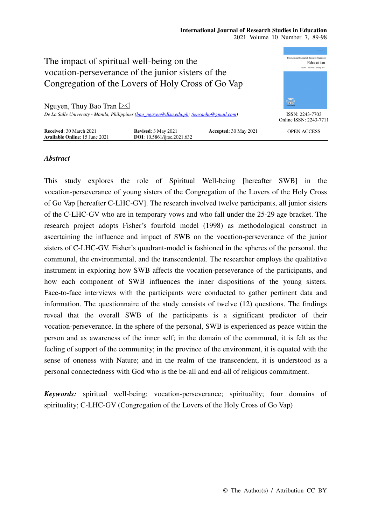#### **International Journal of Research Studies in Education**  2021 Volume 10 Number 7, 89-98



# *Abstract*

This study explores the role of Spiritual Well-being [hereafter SWB] in the vocation-perseverance of young sisters of the Congregation of the Lovers of the Holy Cross of Go Vap [hereafter C-LHC-GV]. The research involved twelve participants, all junior sisters of the C-LHC-GV who are in temporary vows and who fall under the 25-29 age bracket. The research project adopts Fisher's fourfold model (1998) as methodological construct in ascertaining the influence and impact of SWB on the vocation-perseverance of the junior sisters of C-LHC-GV. Fisher's quadrant-model is fashioned in the spheres of the personal, the communal, the environmental, and the transcendental. The researcher employs the qualitative instrument in exploring how SWB affects the vocation-perseverance of the participants, and how each component of SWB influences the inner dispositions of the young sisters. Face-to-face interviews with the participants were conducted to gather pertinent data and information. The questionnaire of the study consists of twelve (12) questions. The findings reveal that the overall SWB of the participants is a significant predictor of their vocation-perseverance. In the sphere of the personal, SWB is experienced as peace within the person and as awareness of the inner self; in the domain of the communal, it is felt as the feeling of support of the community; in the province of the environment, it is equated with the sense of oneness with Nature; and in the realm of the transcendent, it is understood as a personal connectedness with God who is the be-all and end-all of religious commitment.

*Keywords:* spiritual well-being; vocation-perseverance; spirituality; four domains of spirituality; C-LHC-GV (Congregation of the Lovers of the Holy Cross of Go Vap)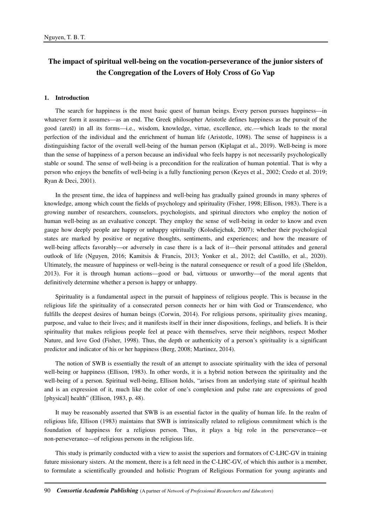# **The impact of spiritual well-being on the vocation-perseverance of the junior sisters of the Congregation of the Lovers of Holy Cross of Go Vap**

#### **1. Introduction**

The search for happiness is the most basic quest of human beings. Every person pursues happiness—in whatever form it assumes—as an end. The Greek philosopher Aristotle defines happiness as the pursuit of the good (aretē) in all its forms—i.e., wisdom, knowledge, virtue, excellence, etc.—which leads to the moral perfection of the individual and the enrichment of human life (Aristotle, 1098). The sense of happiness is a distinguishing factor of the overall well-being of the human person (Kiplagat et al., 2019). Well-being is more than the sense of happiness of a person because an individual who feels happy is not necessarily psychologically stable or sound. The sense of well-being is a precondition for the realization of human potential. That is why a person who enjoys the benefits of well-being is a fully functioning person (Keyes et al., 2002; Credo et al. 2019; Ryan & Deci, 2001).

In the present time, the idea of happiness and well-being has gradually gained grounds in many spheres of knowledge, among which count the fields of psychology and spirituality (Fisher, 1998; Ellison, 1983). There is a growing number of researchers, counselors, psychologists, and spiritual directors who employ the notion of human well-being as an evaluative concept. They employ the sense of well-being in order to know and even gauge how deeply people are happy or unhappy spiritually (Kolodiejchuk, 2007); whether their psychological states are marked by positive or negative thoughts, sentiments, and experiences; and how the measure of well-being affects favorably—or adversely in case there is a lack of it—their personal attitudes and general outlook of life (Nguyen, 2016; Kamitsis & Francis, 2013; Yonker et al., 2012; del Castillo, et al., 2020). Ultimately, the measure of happiness or well-being is the natural consequence or result of a good life (Sheldon, 2013). For it is through human actions—good or bad, virtuous or unworthy—of the moral agents that definitively determine whether a person is happy or unhappy.

Spirituality is a fundamental aspect in the pursuit of happiness of religious people. This is because in the religious life the spirituality of a consecrated person connects her or him with God or Transcendence, who fulfills the deepest desires of human beings (Corwin, 2014). For religious persons, spirituality gives meaning, purpose, and value to their lives; and it manifests itself in their inner dispositions, feelings, and beliefs. It is their spirituality that makes religious people feel at peace with themselves, serve their neighbors, respect Mother Nature, and love God (Fisher, 1998). Thus, the depth or authenticity of a person's spirituality is a significant predictor and indicator of his or her happiness (Berg, 2008; Martinez, 2014).

The notion of SWB is essentially the result of an attempt to associate spirituality with the idea of personal well-being or happiness (Ellison, 1983). In other words, it is a hybrid notion between the spirituality and the well-being of a person. Spiritual well-being, Ellison holds, "arises from an underlying state of spiritual health and is an expression of it, much like the color of one's complexion and pulse rate are expressions of good [physical] health" (Ellison, 1983, p. 48).

It may be reasonably asserted that SWB is an essential factor in the quality of human life. In the realm of religious life, Ellison (1983) maintains that SWB is intrinsically related to religious commitment which is the foundation of happiness for a religious person. Thus, it plays a big role in the perseverance—or non-perseverance—of religious persons in the religious life.

This study is primarily conducted with a view to assist the superiors and formators of C-LHC-GV in training future missionary sisters. At the moment, there is a felt need in the C-LHC-GV, of which this author is a member, to formulate a scientifically grounded and holistic Program of Religious Formation for young aspirants and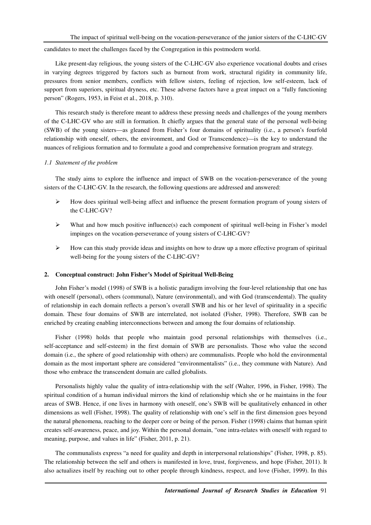candidates to meet the challenges faced by the Congregation in this postmodern world.

Like present-day religious, the young sisters of the C-LHC-GV also experience vocational doubts and crises in varying degrees triggered by factors such as burnout from work, structural rigidity in community life, pressures from senior members, conflicts with fellow sisters, feeling of rejection, low self-esteem, lack of support from superiors, spiritual dryness, etc. These adverse factors have a great impact on a "fully functioning person" (Rogers, 1953, in Feist et al., 2018, p. 310).

This research study is therefore meant to address these pressing needs and challenges of the young members of the C-LHC-GV who are still in formation. It chiefly argues that the general state of the personal well-being (SWB) of the young sisters—as gleaned from Fisher's four domains of spirituality (i.e., a person's fourfold relationship with oneself, others, the environment, and God or Transcendence)—is the key to understand the nuances of religious formation and to formulate a good and comprehensive formation program and strategy.

### *1.1 Statement of the problem*

The study aims to explore the influence and impact of SWB on the vocation-perseverance of the young sisters of the C-LHC-GV. In the research, the following questions are addressed and answered:

- $\triangleright$  How does spiritual well-being affect and influence the present formation program of young sisters of the C-LHC-GV?
- $\triangleright$  What and how much positive influence(s) each component of spiritual well-being in Fisher's model impinges on the vocation-perseverance of young sisters of C-LHC-GV?
- $\triangleright$  How can this study provide ideas and insights on how to draw up a more effective program of spiritual well-being for the young sisters of the C-LHC-GV?

### **2. Conceptual construct: John Fisher's Model of Spiritual Well-Being**

John Fisher's model (1998) of SWB is a holistic paradigm involving the four-level relationship that one has with oneself (personal), others (communal), Nature (environmental), and with God (transcendental). The quality of relationship in each domain reflects a person's overall SWB and his or her level of spirituality in a specific domain. These four domains of SWB are interrelated, not isolated (Fisher, 1998). Therefore, SWB can be enriched by creating enabling interconnections between and among the four domains of relationship.

Fisher (1998) holds that people who maintain good personal relationships with themselves (i.e., self-acceptance and self-esteem) in the first domain of SWB are personalists. Those who value the second domain (i.e., the sphere of good relationship with others) are communalists. People who hold the environmental domain as the most important sphere are considered "environmentalists" (i.e., they commune with Nature). And those who embrace the transcendent domain are called globalists.

Personalists highly value the quality of intra-relationship with the self (Walter, 1996, in Fisher, 1998). The spiritual condition of a human individual mirrors the kind of relationship which she or he maintains in the four areas of SWB. Hence, if one lives in harmony with oneself, one's SWB will be qualitatively enhanced in other dimensions as well (Fisher, 1998). The quality of relationship with one's self in the first dimension goes beyond the natural phenomena, reaching to the deeper core or being of the person. Fisher (1998) claims that human spirit creates self-awareness, peace, and joy. Within the personal domain, "one intra-relates with oneself with regard to meaning, purpose, and values in life" (Fisher, 2011, p. 21).

The communalists express "a need for quality and depth in interpersonal relationships'' (Fisher, 1998, p. 85). The relationship between the self and others is manifested in love, trust, forgiveness, and hope (Fisher, 2011). It also actualizes itself by reaching out to other people through kindness, respect, and love (Fisher, 1999). In this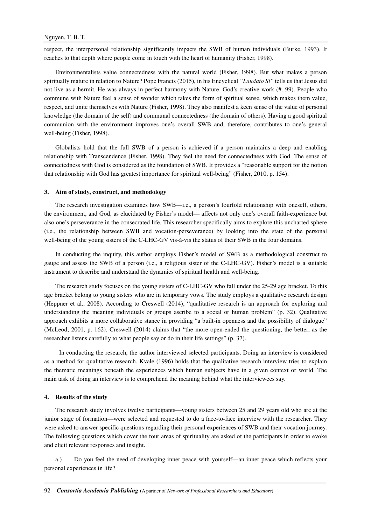respect, the interpersonal relationship significantly impacts the SWB of human individuals (Burke, 1993). It reaches to that depth where people come in touch with the heart of humanity (Fisher, 1998).

Environmentalists value connectedness with the natural world (Fisher, 1998). But what makes a person spiritually mature in relation to Nature? Pope Francis (2015), in his Encyclical *"Laudato Si"* tells us that Jesus did not live as a hermit. He was always in perfect harmony with Nature, God's creative work (#. 99). People who commune with Nature feel a sense of wonder which takes the form of spiritual sense, which makes them value, respect, and unite themselves with Nature (Fisher, 1998). They also manifest a keen sense of the value of personal knowledge (the domain of the self) and communal connectedness (the domain of others). Having a good spiritual communion with the environment improves one's overall SWB and, therefore, contributes to one's general well-being (Fisher, 1998).

Globalists hold that the full SWB of a person is achieved if a person maintains a deep and enabling relationship with Transcendence (Fisher, 1998). They feel the need for connectedness with God. The sense of connectedness with God is considered as the foundation of SWB. It provides a "reasonable support for the notion that relationship with God has greatest importance for spiritual well-being" (Fisher, 2010, p. 154).

#### **3. Aim of study, construct, and methodology**

The research investigation examines how SWB—i.e., a person's fourfold relationship with oneself, others, the environment, and God, as elucidated by Fisher's model— affects not only one's overall faith-experience but also one's perseverance in the consecrated life. This researcher specifically aims to explore this uncharted sphere (i.e., the relationship between SWB and vocation-perseverance) by looking into the state of the personal well-being of the young sisters of the C-LHC-GV vis-à-vis the status of their SWB in the four domains.

In conducting the inquiry, this author employs Fisher's model of SWB as a methodological construct to gauge and assess the SWB of a person (i.e., a religious sister of the C-LHC-GV). Fisher's model is a suitable instrument to describe and understand the dynamics of spiritual health and well-being.

The research study focuses on the young sisters of C-LHC-GV who fall under the 25-29 age bracket. To this age bracket belong to young sisters who are in temporary vows. The study employs a qualitative research design (Heppner et al., 2008). According to Creswell (2014), "qualitative research is an approach for exploring and understanding the meaning individuals or groups ascribe to a social or human problem" (p. 32). Qualitative approach exhibits a more collaborative stance in providing "a built-in openness and the possibility of dialogue" (McLeod, 2001, p. 162). Creswell (2014) claims that "the more open-ended the questioning, the better, as the researcher listens carefully to what people say or do in their life settings" (p. 37).

 In conducting the research, the author interviewed selected participants. Doing an interview is considered as a method for qualitative research. Kvale (1996) holds that the qualitative research interview tries to explain the thematic meanings beneath the experiences which human subjects have in a given context or world. The main task of doing an interview is to comprehend the meaning behind what the interviewees say.

#### **4. Results of the study**

The research study involves twelve participants—young sisters between 25 and 29 years old who are at the junior stage of formation—were selected and requested to do a face-to-face interview with the researcher. They were asked to answer specific questions regarding their personal experiences of SWB and their vocation journey. The following questions which cover the four areas of spirituality are asked of the participants in order to evoke and elicit relevant responses and insight.

a.) Do you feel the need of developing inner peace with yourself—an inner peace which reflects your personal experiences in life?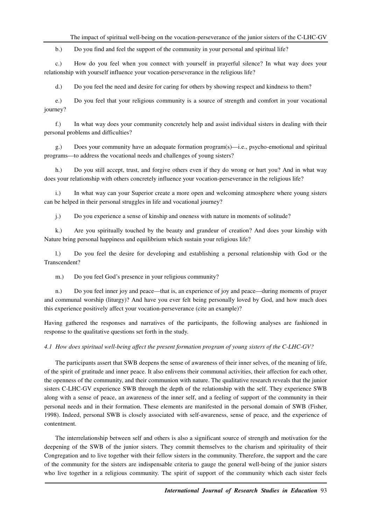The impact of spiritual well-being on the vocation-perseverance of the junior sisters of the C-LHC-GV

b.) Do you find and feel the support of the community in your personal and spiritual life?

c.) How do you feel when you connect with yourself in prayerful silence? In what way does your relationship with yourself influence your vocation-perseverance in the religious life?

d.) Do you feel the need and desire for caring for others by showing respect and kindness to them?

e.) Do you feel that your religious community is a source of strength and comfort in your vocational journey?

f.) In what way does your community concretely help and assist individual sisters in dealing with their personal problems and difficulties?

g.) Does your community have an adequate formation program(s)—i.e., psycho-emotional and spiritual programs—to address the vocational needs and challenges of young sisters?

h.) Do you still accept, trust, and forgive others even if they do wrong or hurt you? And in what way does your relationship with others concretely influence your vocation-perseverance in the religious life?

i.) In what way can your Superior create a more open and welcoming atmosphere where young sisters can be helped in their personal struggles in life and vocational journey?

j.) Do you experience a sense of kinship and oneness with nature in moments of solitude?

k.) Are you spiritually touched by the beauty and grandeur of creation? And does your kinship with Nature bring personal happiness and equilibrium which sustain your religious life?

l.) Do you feel the desire for developing and establishing a personal relationship with God or the Transcendent?

m.) Do you feel God's presence in your religious community?

n.) Do you feel inner joy and peace—that is, an experience of joy and peace—during moments of prayer and communal worship (liturgy)? And have you ever felt being personally loved by God, and how much does this experience positively affect your vocation-perseverance (cite an example)?

Having gathered the responses and narratives of the participants, the following analyses are fashioned in response to the qualitative questions set forth in the study.

*4.1 How does spiritual well-being affect the present formation program of young sisters of the C-LHC-GV?* 

The participants assert that SWB deepens the sense of awareness of their inner selves, of the meaning of life, of the spirit of gratitude and inner peace. It also enlivens their communal activities, their affection for each other, the openness of the community, and their communion with nature. The qualitative research reveals that the junior sisters C-LHC-GV experience SWB through the depth of the relationship with the self. They experience SWB along with a sense of peace, an awareness of the inner self, and a feeling of support of the community in their personal needs and in their formation. These elements are manifested in the personal domain of SWB (Fisher, 1998). Indeed, personal SWB is closely associated with self-awareness, sense of peace, and the experience of contentment.

The interrelationship between self and others is also a significant source of strength and motivation for the deepening of the SWB of the junior sisters. They commit themselves to the charism and spirituality of their Congregation and to live together with their fellow sisters in the community. Therefore, the support and the care of the community for the sisters are indispensable criteria to gauge the general well-being of the junior sisters who live together in a religious community. The spirit of support of the community which each sister feels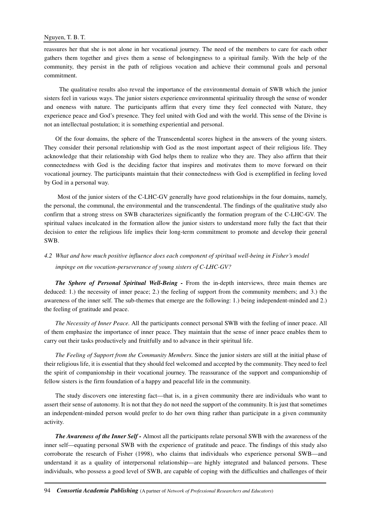reassures her that she is not alone in her vocational journey. The need of the members to care for each other gathers them together and gives them a sense of belongingness to a spiritual family. With the help of the community, they persist in the path of religious vocation and achieve their communal goals and personal commitment.

 The qualitative results also reveal the importance of the environmental domain of SWB which the junior sisters feel in various ways. The junior sisters experience environmental spirituality through the sense of wonder and oneness with nature. The participants affirm that every time they feel connected with Nature, they experience peace and God's presence. They feel united with God and with the world. This sense of the Divine is not an intellectual postulation; it is something experiential and personal.

Of the four domains, the sphere of the Transcendental scores highest in the answers of the young sisters. They consider their personal relationship with God as the most important aspect of their religious life. They acknowledge that their relationship with God helps them to realize who they are. They also affirm that their connectedness with God is the deciding factor that inspires and motivates them to move forward on their vocational journey. The participants maintain that their connectedness with God is exemplified in feeling loved by God in a personal way.

 Most of the junior sisters of the C-LHC-GV generally have good relationships in the four domains, namely, the personal, the communal, the environmental and the transcendental. The findings of the qualitative study also confirm that a strong stress on SWB characterizes significantly the formation program of the C-LHC-GV. The spiritual values inculcated in the formation allow the junior sisters to understand more fully the fact that their decision to enter the religious life implies their long-term commitment to promote and develop their general SWB.

# *4.2 What and how much positive influence does each component of spiritual well-being in Fisher's model impinge on the vocation-perseverance of young sisters of C-LHC-GV?*

*The Sphere of Personal Spiritual Well-Being -* From the in-depth interviews, three main themes are deduced: 1.) the necessity of inner peace; 2.) the feeling of support from the community members; and 3.) the awareness of the inner self. The sub-themes that emerge are the following: 1.) being independent-minded and 2.) the feeling of gratitude and peace.

*The Necessity of Inner Peace.* All the participants connect personal SWB with the feeling of inner peace. All of them emphasize the importance of inner peace. They maintain that the sense of inner peace enables them to carry out their tasks productively and fruitfully and to advance in their spiritual life.

*The Feeling of Support from the Community Members.* Since the junior sisters are still at the initial phase of their religious life, it is essential that they should feel welcomed and accepted by the community. They need to feel the spirit of companionship in their vocational journey. The reassurance of the support and companionship of fellow sisters is the firm foundation of a happy and peaceful life in the community.

The study discovers one interesting fact—that is, in a given community there are individuals who want to assert their sense of autonomy. It is not that they do not need the support of the community. It is just that sometimes an independent-minded person would prefer to do her own thing rather than participate in a given community activity.

*The Awareness of the Inner Self -* Almost all the participants relate personal SWB with the awareness of the inner self—equating personal SWB with the experience of gratitude and peace. The findings of this study also corroborate the research of Fisher (1998), who claims that individuals who experience personal SWB—and understand it as a quality of interpersonal relationship—are highly integrated and balanced persons. These individuals, who possess a good level of SWB, are capable of coping with the difficulties and challenges of their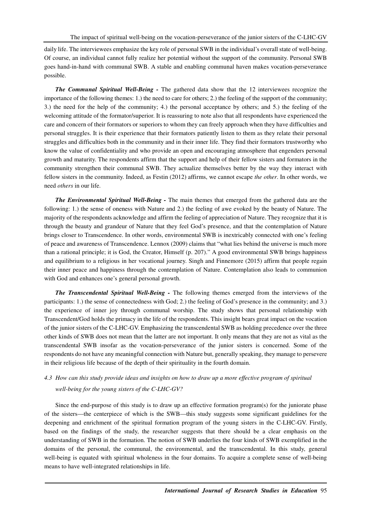daily life. The interviewees emphasize the key role of personal SWB in the individual's overall state of well-being. Of course, an individual cannot fully realize her potential without the support of the community. Personal SWB goes hand-in-hand with communal SWB. A stable and enabling communal haven makes vocation-perseverance possible.

*The Communal Spiritual Well-Being -* The gathered data show that the 12 interviewees recognize the importance of the following themes: 1.) the need to care for others; 2.) the feeling of the support of the community; 3.) the need for the help of the community; 4.) the personal acceptance by others; and 5.) the feeling of the welcoming attitude of the formator/superior. It is reassuring to note also that all respondents have experienced the care and concern of their formators or superiors to whom they can freely approach when they have difficulties and personal struggles. It is their experience that their formators patiently listen to them as they relate their personal struggles and difficulties both in the community and in their inner life. They find their formators trustworthy who know the value of confidentiality and who provide an open and encouraging atmosphere that engenders personal growth and maturity. The respondents affirm that the support and help of their fellow sisters and formators in the community strengthen their communal SWB. They actualize themselves better by the way they interact with fellow sisters in the community. Indeed, as Festin (2012) affirms, we cannot escape *the other*. In other words, we need *others* in our life.

*The Environmental Spiritual Well-Being -* The main themes that emerged from the gathered data are the following: 1.) the sense of oneness with Nature and 2.) the feeling of awe evoked by the beauty of Nature. The majority of the respondents acknowledge and affirm the feeling of appreciation of Nature. They recognize that it is through the beauty and grandeur of Nature that they feel God's presence, and that the contemplation of Nature brings closer to Transcendence. In other words, environmental SWB is inextricably connected with one's feeling of peace and awareness of Transcendence. Lennox (2009) claims that "what lies behind the universe is much more than a rational principle; it is God, the Creator, Himself (p. 207)." A good environmental SWB brings happiness and equilibrium to a religious in her vocational journey. Singh and Finnemore (2015) affirm that people regain their inner peace and happiness through the contemplation of Nature. Contemplation also leads to communion with God and enhances one's general personal growth.

*The Transcendental Spiritual Well-Being -* The following themes emerged from the interviews of the participants: 1.) the sense of connectedness with God; 2.) the feeling of God's presence in the community; and 3.) the experience of inner joy through communal worship. The study shows that personal relationship with Transcendent/God holds the primacy in the life of the respondents. This insight bears great impact on the vocation of the junior sisters of the C-LHC-GV. Emphasizing the transcendental SWB as holding precedence over the three other kinds of SWB does not mean that the latter are not important. It only means that they are not as vital as the transcendental SWB insofar as the vocation-perseverance of the junior sisters is concerned. Some of the respondents do not have any meaningful connection with Nature but, generally speaking, they manage to persevere in their religious life because of the depth of their spirituality in the fourth domain.

# *4.3 How can this study provide ideas and insights on how to draw up a more effective program of spiritual well-being for the young sisters of the C-LHC-GV?*

Since the end-purpose of this study is to draw up an effective formation program(s) for the juniorate phase of the sisters—the centerpiece of which is the SWB—this study suggests some significant guidelines for the deepening and enrichment of the spiritual formation program of the young sisters in the C-LHC-GV. Firstly, based on the findings of the study, the researcher suggests that there should be a clear emphasis on the understanding of SWB in the formation. The notion of SWB underlies the four kinds of SWB exemplified in the domains of the personal, the communal, the environmental, and the transcendental. In this study, general well-being is equated with spiritual wholeness in the four domains. To acquire a complete sense of well-being means to have well-integrated relationships in life.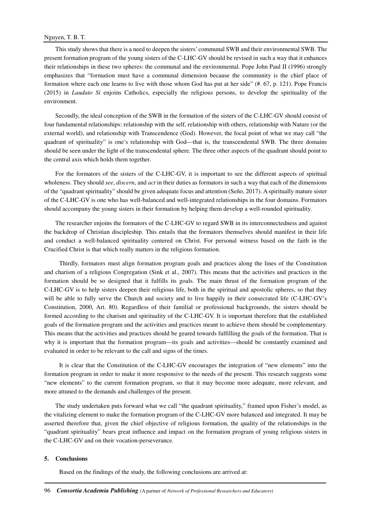## Nguyen, T. B. T.

This study shows that there is a need to deepen the sisters' communal SWB and their environmental SWB. The present formation program of the young sisters of the C-LHC-GV should be revised in such a way that it enhances their relationships in these two spheres: the communal and the environmental. Pope John Paul II (1996) strongly emphasizes that "formation must have a communal dimension because the community is the chief place of formation where each one learns to live with those whom God has put at her side" (#. 67, p. 121). Pope Francis (2015) in *Laudato Si* enjoins Catholics, especially the religious persons, to develop the spirituality of the environment.

Secondly, the ideal conception of the SWB in the formation of the sisters of the C-LHC-GV should consist of four fundamental relationships: relationship with the self, relationship with others, relationship with Nature (or the external world), and relationship with Transcendence (God). However, the focal point of what we may call "the quadrant of spirituality" is one's relationship with God—that is, the transcendental SWB. The three domains should be seen under the light of the transcendental sphere. The three other aspects of the quadrant should point to the central axis which holds them together.

For the formators of the sisters of the C-LHC-GV, it is important to see the different aspects of spiritual wholeness. They should *see*, *discern*, and *act* in their duties as formators in such a way that each of the dimensions of the "quadrant spirituality" should be given adequate focus and attention (Seño, 2017). A spiritually mature sister of the C-LHC-GV is one who has well-balanced and well-integrated relationships in the four domains. Formators should accompany the young sisters in their formation by helping them develop a well-rounded spirituality.

The researcher enjoins the formators of the C-LHC-GV to regard SWB in its interconnectedness and against the backdrop of Christian discipleship. This entails that the formators themselves should manifest in their life and conduct a well-balanced spirituality centered on Christ. For personal witness based on the faith in the Crucified Christ is that which really matters in the religious formation.

 Thirdly, formators must align formation program goals and practices along the lines of the Constitution and charism of a religious Congregation (Sink et al., 2007). This means that the activities and practices in the formation should be so designed that it fulfills its goals. The main thrust of the formation program of the C-LHC-GV is to help sisters deepen their religious life, both in the spiritual and apostolic spheres, so that they will be able to fully serve the Church and society and to live happily in their consecrated life (C-LHC-GV's Constitution, 2000, Art. 80). Regardless of their familial or professional backgrounds, the sisters should be formed according to the charism and spirituality of the C-LHC-GV. It is important therefore that the established goals of the formation program and the activities and practices meant to achieve them should be complementary. This means that the activities and practices should be geared towards fulfilling the goals of the formation. That is why it is important that the formation program—its goals and activities—should be constantly examined and evaluated in order to be relevant to the call and signs of the times.

 It is clear that the Constitution of the C-LHC-GV encourages the integration of "new elements" into the formation program in order to make it more responsive to the needs of the present. This research suggests some "new elements" to the current formation program, so that it may become more adequate, more relevant, and more attuned to the demands and challenges of the present.

The study undertaken puts forward what we call "the quadrant spirituality," framed upon Fisher's model, as the vitalizing element to make the formation program of the C-LHC-GV more balanced and integrated. It may be asserted therefore that, given the chief objective of religious formation, the quality of the relationships in the "quadrant spirituality" bears great influence and impact on the formation program of young religious sisters in the C-LHC-GV and on their vocation-perseverance.

#### **5. Conclusions**

Based on the findings of the study, the following conclusions are arrived at: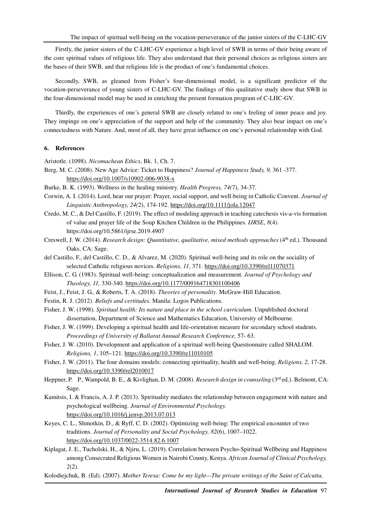Firstly, the junior sisters of the C-LHC-GV experience a high level of SWB in terms of their being aware of the core spiritual values of religious life. They also understand that their personal choices as religious sisters are the bases of their SWB, and that religious life is the product of one's fundamental choices.

Secondly, SWB, as gleaned from Fisher's four-dimensional model, is a significant predictor of the vocation-perseverance of young sisters of C-LHC-GV. The findings of this qualitative study show that SWB in the four-dimensional model may be used in enriching the present formation program of C-LHC-GV.

Thirdly, the experiences of one's general SWB are closely related to one's feeling of inner peace and joy. They impinge on one's appreciation of the support and help of the community. They also bear impact on one's connectedness with Nature. And, most of all, they have great influence on one's personal relationship with God.

## **6. References**

Aristotle. (1098). *Nicomachean Ethics*, Bk. 1, Ch. 7.

- Berg, M. C. (2008). New Age Advice: Ticket to Happiness? *Journal of Happiness Study, 9,* 361 -377. https://doi.org/10.1007/s10902-006-9038-x
- Burke, B. K. (1993). Wellness in the healing ministry. *Health Progress, 74(*7), 34-37.
- Corwin, A. I. (2014). Lord, hear our prayer: Prayer, social support, and well-being in Catholic Convent. *Journal of Linguistic Anthropology, 24(*2), 174-192. https://doi.org/10.1111/jola.12047
- Credo, M. C., & Del Castillo, F. (2019). The effect of modeling approach in teaching catechesis vis-a-vis formation of value and prayer life of the Soup Kitchen Children in the Philippines. *IJRSE*, *8*(4). https://doi.org/10.5861/ijrse.2019.4907
- Creswell, J. W. (2014). *Research design: Quantitative, qualitative, mixed methods approaches* (4<sup>th</sup> ed.). Thousand Oaks, CA: Sage.
- del Castillo, F., del Castillo, C. D., & Alvarez, M. (2020). Spiritual well-being and its role on the sociality of selected Catholic religious novices. *Religions*, *11*, 371. https://doi.org/10.3390/rel11070371
- Ellison, C. G. (1983). Spiritual well-being: conceptualization and measurement. *Journal of Psychology and Theology, 11,* 330-340. https://doi.org/10.1177/009164718301100406
- Feist, J., Feist, J. G., & Roberts, T. A. (2018). *Theories of personality*. McGraw-Hill Education.
- Festin, R. J. (2012). *Beliefs and certitudes*. Manila: Logos Publications.
- Fisher, J. W. (1998). *Spiritual health: Its nature and place in the school curriculum.* Unpublished doctoral dissertation, Department of Science and Mathematics Education, University of Melbourne.
- Fisher, J. W. (1999). Developing a spiritual health and life-orientation measure for secondary school students. *Proceedings of University of Ballarat Annual Research Conference,* 57- 63.
- Fisher, J. W. (2010). Development and application of a spiritual well-being Questionnaire called SHALOM. *Religions, 1*, 105–121. https://doi.org/10.3390/re11010105
- Fisher, J. W. (2011). The four domains models: connecting spirituality, health and well-being. *Religions, 2,* 17-28. https://doi.org/10.3390/rel2010017
- Heppner, P. P., Wampold, B. E., & Kivlighan, D. M. (2008). *Research design in counseling* (3rd ed.). Belmont, CA: Sage.
- Kamitsis, I. & Francis, A. J. P. (2013). Spirituality mediates the relationship between engagement with nature and psychological wellbeing. *Journal of Environmental Psychology.* https://doi.org/10.1016/j.jenvp.2013.07.013
- Keyes, C. L., Shmotkin, D., & Ryff, C. D. (2002). Optimizing well-being: The empirical encounter of two traditions. *Journal of Personality and Social Psychology, 82*(6), 1007–1022. https://doi.org/10.1037/0022-3514.82.6.1007
- Kiplagat, J. E., Tucholski, H., & Njiru, L. (2019). Correlation between Psycho-Spiritual Wellbeing and Happiness among Consecrated Religious Women in Nairobi County, Kenya. *African Journal of Clinical Psychology, 2*(2).
- Kolodiejchuk, B. (Ed). (2007). *Mother Teresa: Come be my light—The private writings of the Saint of Calcutta,*